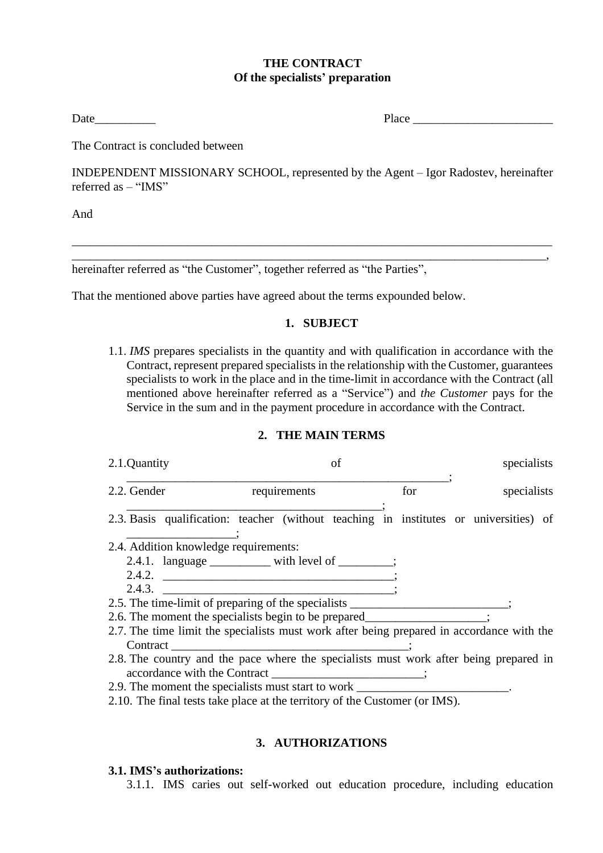### **THE CONTRACT Of the specialists' preparation**

Date Place

The Contract is concluded between

INDEPENDENT MISSIONARY SCHOOL, represented by the Agent – Igor Radostev, hereinafter referred as – "IMS"

\_\_\_\_\_\_\_\_\_\_\_\_\_\_\_\_\_\_\_\_\_\_\_\_\_\_\_\_\_\_\_\_\_\_\_\_\_\_\_\_\_\_\_\_\_\_\_\_\_\_\_\_\_\_\_\_\_\_\_\_\_\_\_\_\_\_\_\_\_\_\_\_\_\_\_\_\_\_\_ \_\_\_\_\_\_\_\_\_\_\_\_\_\_\_\_\_\_\_\_\_\_\_\_\_\_\_\_\_\_\_\_\_\_\_\_\_\_\_\_\_\_\_\_\_\_\_\_\_\_\_\_\_\_\_\_\_\_\_\_\_\_\_\_\_\_\_\_\_\_\_\_\_\_\_\_\_\_,

And

hereinafter referred as "the Customer", together referred as "the Parties",

That the mentioned above parties have agreed about the terms expounded below.

### **1. SUBJECT**

1.1. *IMS* prepares specialists in the quantity and with qualification in accordance with the Contract, represent prepared specialists in the relationship with the Customer, guarantees specialists to work in the place and in the time-limit in accordance with the Contract (all mentioned above hereinafter referred as a "Service") and *the Customer* pays for the Service in the sum and in the payment procedure in accordance with the Contract.

#### **2. THE MAIN TERMS**

| 2.1.Quantity                                                                              | of                                                | specialists |             |  |  |  |
|-------------------------------------------------------------------------------------------|---------------------------------------------------|-------------|-------------|--|--|--|
| 2.2. Gender                                                                               | requirements                                      | for         | specialists |  |  |  |
| 2.3. Basis qualification: teacher (without teaching in institutes or universities) of     |                                                   |             |             |  |  |  |
| 2.4. Addition knowledge requirements:                                                     |                                                   |             |             |  |  |  |
|                                                                                           | 2.4.1. language ___________ with level of _______ |             |             |  |  |  |
|                                                                                           | 2.4.2. $\qquad \qquad$                            |             |             |  |  |  |
| 2.4.3.                                                                                    |                                                   |             |             |  |  |  |
| 2.5. The time-limit of preparing of the specialists _____                                 |                                                   |             |             |  |  |  |
| 2.6. The moment the specialists begin to be prepared                                      |                                                   |             |             |  |  |  |
| 2.7. The time limit the specialists must work after being prepared in accordance with the |                                                   |             |             |  |  |  |
| Contract                                                                                  |                                                   |             |             |  |  |  |
| 2.8. The country and the pace where the specialists must work after being prepared in     |                                                   |             |             |  |  |  |
| accordance with the Contract                                                              |                                                   |             |             |  |  |  |

- 2.9. The moment the specialists must start to work
- 2.10. The final tests take place at the territory of the Customer (or IMS).

### **3. AUTHORIZATIONS**

#### **3.1. IMS's authorizations:**

3.1.1. IMS caries out self-worked out education procedure, including education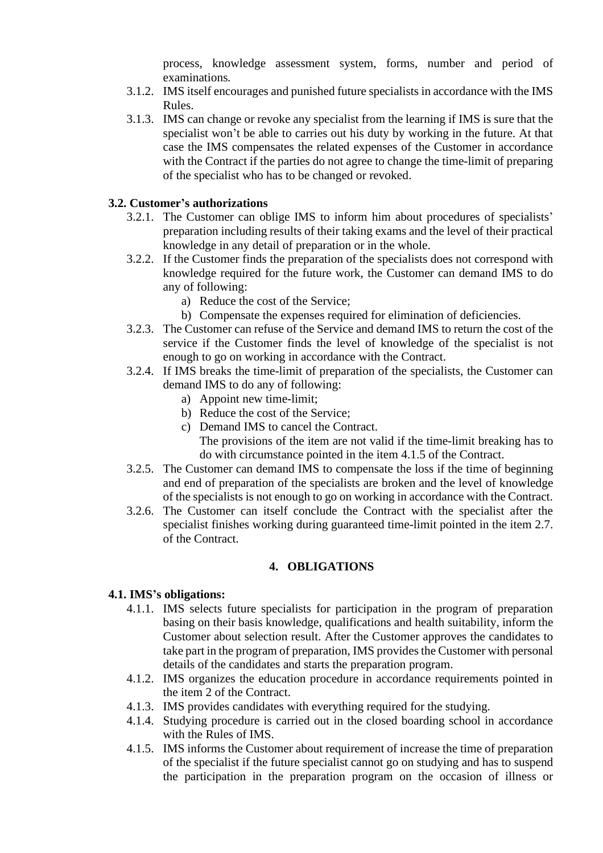process, knowledge assessment system, forms, number and period of examinations*.*

- 3.1.2. IMS itself encourages and punished future specialists in accordance with the IMS Rules.
- 3.1.3. IMS can change or revoke any specialist from the learning if IMS is sure that the specialist won't be able to carries out his duty by working in the future. At that case the IMS compensates the related expenses of the Customer in accordance with the Contract if the parties do not agree to change the time-limit of preparing of the specialist who has to be changed or revoked.

# **3.2. Customer's authorizations**

- 3.2.1. The Customer can oblige IMS to inform him about procedures of specialists' preparation including results of their taking exams and the level of their practical knowledge in any detail of preparation or in the whole.
- 3.2.2. If the Customer finds the preparation of the specialists does not correspond with knowledge required for the future work, the Customer can demand IMS to do any of following:
	- a) Reduce the cost of the Service;
	- b) Compensate the expenses required for elimination of deficiencies.
- 3.2.3. The Customer can refuse of the Service and demand IMS to return the cost of the service if the Customer finds the level of knowledge of the specialist is not enough to go on working in accordance with the Contract.
- 3.2.4. If IMS breaks the time-limit of preparation of the specialists, the Customer can demand IMS to do any of following:
	- a) Appoint new time-limit;
	- b) Reduce the cost of the Service;
	- c) Demand IMS to cancel the Contract. The provisions of the item are not valid if the time-limit breaking has to
- do with circumstance pointed in the item 4.1.5 of the Contract. 3.2.5. The Customer can demand IMS to compensate the loss if the time of beginning and end of preparation of the specialists are broken and the level of knowledge
- of the specialists is not enough to go on working in accordance with the Contract. 3.2.6. The Customer can itself conclude the Contract with the specialist after the specialist finishes working during guaranteed time-limit pointed in the item 2.7.

# **4. OBLIGATIONS**

# **4.1. IMS's obligations:**

of the Contract.

- 4.1.1. IMS selects future specialists for participation in the program of preparation basing on their basis knowledge, qualifications and health suitability, inform the Customer about selection result. After the Customer approves the candidates to take part in the program of preparation, IMS provides the Customer with personal details of the candidates and starts the preparation program.
- 4.1.2. IMS organizes the education procedure in accordance requirements pointed in the item 2 of the Contract.
- 4.1.3. IMS provides candidates with everything required for the studying.
- 4.1.4. Studying procedure is carried out in the closed boarding school in accordance with the Rules of IMS.
- 4.1.5. IMS informs the Customer about requirement of increase the time of preparation of the specialist if the future specialist cannot go on studying and has to suspend the participation in the preparation program on the occasion of illness or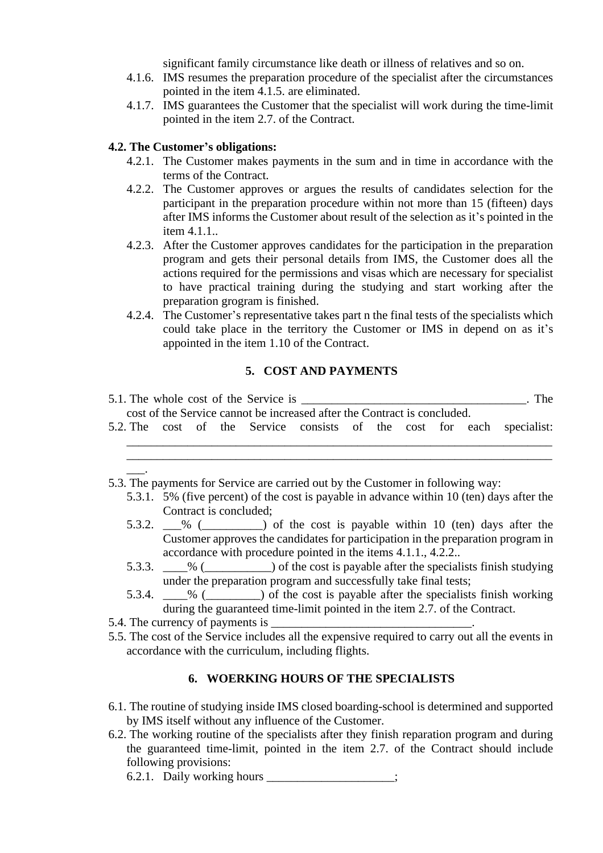significant family circumstance like death or illness of relatives and so on.

- 4.1.6. IMS resumes the preparation procedure of the specialist after the circumstances pointed in the item 4.1.5. are eliminated.
- 4.1.7. IMS guarantees the Customer that the specialist will work during the time-limit pointed in the item 2.7. of the Contract.

#### **4.2. The Customer's obligations:**

- 4.2.1. The Customer makes payments in the sum and in time in accordance with the terms of the Contract.
- 4.2.2. The Customer approves or argues the results of candidates selection for the participant in the preparation procedure within not more than 15 (fifteen) days after IMS informs the Customer about result of the selection as it's pointed in the item 4.1.1..
- 4.2.3. After the Customer approves candidates for the participation in the preparation program and gets their personal details from IMS, the Customer does all the actions required for the permissions and visas which are necessary for specialist to have practical training during the studying and start working after the preparation grogram is finished.
- 4.2.4. The Customer's representative takes part n the final tests of the specialists which could take place in the territory the Customer or IMS in depend on as it's appointed in the item 1.10 of the Contract.

#### **5. COST AND PAYMENTS**

|                                                                          |  |  |  | 5.1. The whole cost of the Service is ______ |  |  |  |  |  |  | The                                                                    |
|--------------------------------------------------------------------------|--|--|--|----------------------------------------------|--|--|--|--|--|--|------------------------------------------------------------------------|
| cost of the Service cannot be increased after the Contract is concluded. |  |  |  |                                              |  |  |  |  |  |  |                                                                        |
|                                                                          |  |  |  |                                              |  |  |  |  |  |  | 5.2. The cost of the Service consists of the cost for each specialist: |
|                                                                          |  |  |  |                                              |  |  |  |  |  |  |                                                                        |

- 5.3. The payments for Service are carried out by the Customer in following way:
	- 5.3.1. 5% (five percent) of the cost is payable in advance within 10 (ten) days after the Contract is concluded;

\_\_\_\_\_\_\_\_\_\_\_\_\_\_\_\_\_\_\_\_\_\_\_\_\_\_\_\_\_\_\_\_\_\_\_\_\_\_\_\_\_\_\_\_\_\_\_\_\_\_\_\_\_\_\_\_\_\_\_\_\_\_\_\_\_\_\_\_\_\_

- 5.3.2.  $\_\%$  ( $\_\_\_\$ ) of the cost is payable within 10 (ten) days after the Customer approves the candidates for participation in the preparation program in accordance with procedure pointed in the items 4.1.1., 4.2.2..
- 5.3.3. \_\_\_\_% (\_\_\_\_\_\_\_\_\_\_\_) of the cost is payable after the specialists finish studying under the preparation program and successfully take final tests;
- 5.3.4. \_\_\_\_% (\_\_\_\_\_\_\_\_\_) of the cost is payable after the specialists finish working during the guaranteed time-limit pointed in the item 2.7. of the Contract.

5.4. The currency of payments is

 $\overline{\phantom{a}}$ .

5.5. The cost of the Service includes all the expensive required to carry out all the events in accordance with the curriculum, including flights.

### **6. WOERKING HOURS OF THE SPECIALISTS**

- 6.1. The routine of studying inside IMS closed boarding-school is determined and supported by IMS itself without any influence of the Customer.
- 6.2. The working routine of the specialists after they finish reparation program and during the guaranteed time-limit, pointed in the item 2.7. of the Contract should include following provisions:

6.2.1. Daily working hours \_\_\_\_\_\_\_\_\_\_\_\_\_\_\_\_\_;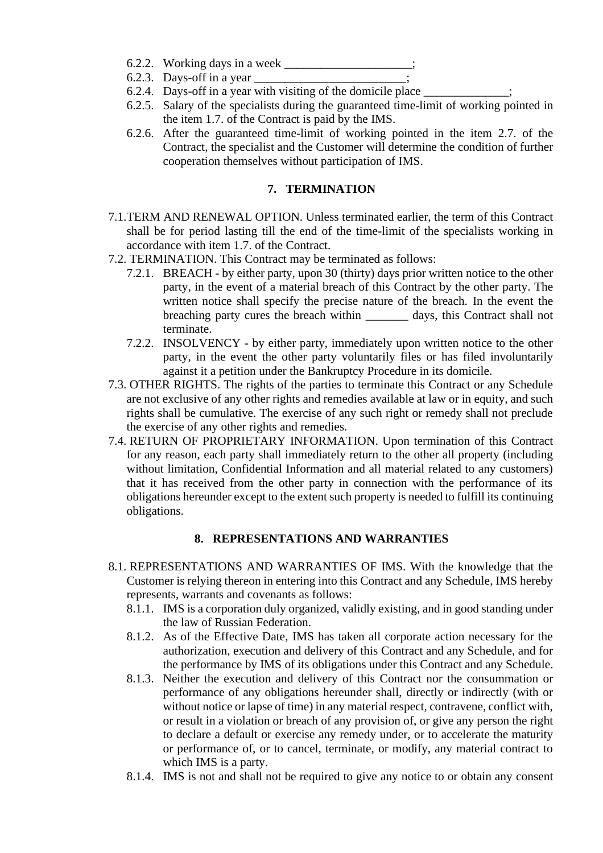- 6.2.2. Working days in a week
- 6.2.3. Days-off in a year
- 6.2.4. Days-off in a year with visiting of the domicile place
- 6.2.5. Salary of the specialists during the guaranteed time-limit of working pointed in the item 1.7. of the Contract is paid by the IMS.
- 6.2.6. After the guaranteed time-limit of working pointed in the item 2.7. of the Contract, the specialist and the Customer will determine the condition of further cooperation themselves without participation of IMS.

### **7. TERMINATION**

- 7.1.TERM AND RENEWAL OPTION. Unless terminated earlier, the term of this Contract shall be for period lasting till the end of the time-limit of the specialists working in accordance with item 1.7. of the Contract.
- 7.2. TERMINATION. This Contract may be terminated as follows:
	- 7.2.1. BREACH by either party, upon 30 (thirty) days prior written notice to the other party, in the event of a material breach of this Contract by the other party. The written notice shall specify the precise nature of the breach. In the event the breaching party cures the breach within \_\_\_\_\_\_\_ days, this Contract shall not terminate.
	- 7.2.2. INSOLVENCY by either party, immediately upon written notice to the other party, in the event the other party voluntarily files or has filed involuntarily against it a petition under the Bankruptcy Procedure in its domicile.
- 7.3. OTHER RIGHTS. The rights of the parties to terminate this Contract or any Schedule are not exclusive of any other rights and remedies available at law or in equity, and such rights shall be cumulative. The exercise of any such right or remedy shall not preclude the exercise of any other rights and remedies.
- 7.4. RETURN OF PROPRIETARY INFORMATION. Upon termination of this Contract for any reason, each party shall immediately return to the other all property (including without limitation, Confidential Information and all material related to any customers) that it has received from the other party in connection with the performance of its obligations hereunder except to the extent such property is needed to fulfill its continuing obligations.

# **8. REPRESENTATIONS AND WARRANTIES**

- 8.1. REPRESENTATIONS AND WARRANTIES OF IMS. With the knowledge that the Customer is relying thereon in entering into this Contract and any Schedule, IMS hereby represents, warrants and covenants as follows:
	- 8.1.1. IMS is a corporation duly organized, validly existing, and in good standing under the law of Russian Federation.
	- 8.1.2. As of the Effective Date, IMS has taken all corporate action necessary for the authorization, execution and delivery of this Contract and any Schedule, and for the performance by IMS of its obligations under this Contract and any Schedule.
	- 8.1.3. Neither the execution and delivery of this Contract nor the consummation or performance of any obligations hereunder shall, directly or indirectly (with or without notice or lapse of time) in any material respect, contravene, conflict with, or result in a violation or breach of any provision of, or give any person the right to declare a default or exercise any remedy under, or to accelerate the maturity or performance of, or to cancel, terminate, or modify, any material contract to which IMS is a party.
	- 8.1.4. IMS is not and shall not be required to give any notice to or obtain any consent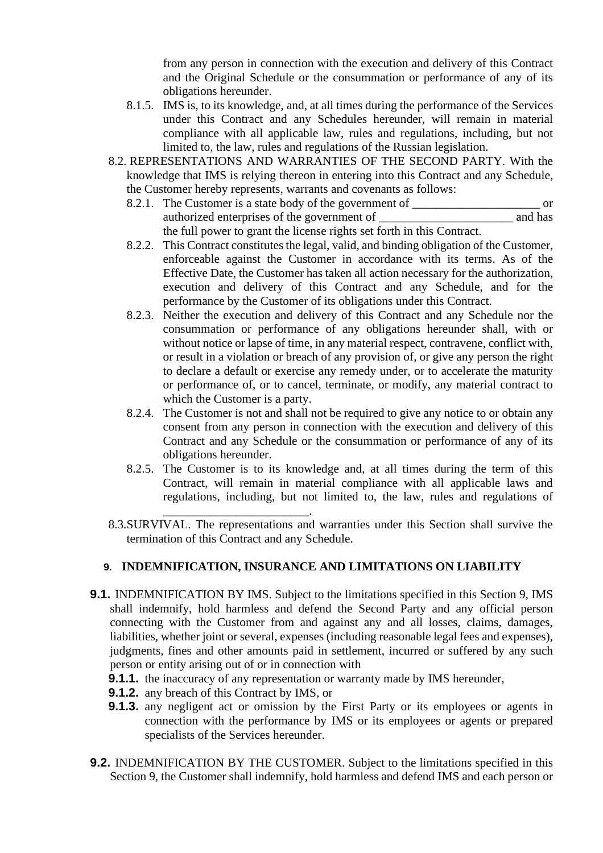from any person in connection with the execution and delivery of this Contract and the Original Schedule or the consummation or performance of any of its obligations hereunder.

- 8.1.5. IMS is, to its knowledge, and, at all times during the performance of the Services under this Contract and any Schedules hereunder, will remain in material compliance with all applicable law, rules and regulations, including, but not limited to, the law, rules and regulations of the Russian legislation.
- 8.2. REPRESENTATIONS AND WARRANTIES OF THE SECOND PARTY. With the knowledge that IMS is relying thereon in entering into this Contract and any Schedule, the Customer hereby represents, warrants and covenants as follows:
	- 8.2.1. The Customer is a state body of the government of \_\_\_\_\_\_\_\_\_\_\_\_\_\_\_\_\_\_\_\_\_ or authorized enterprises of the government of  $\qquad$  and has the full power to grant the license rights set forth in this Contract.
	- 8.2.2. This Contract constitutes the legal, valid, and binding obligation of the Customer, enforceable against the Customer in accordance with its terms. As of the Effective Date, the Customer has taken all action necessary for the authorization, execution and delivery of this Contract and any Schedule, and for the performance by the Customer of its obligations under this Contract.
	- 8.2.3. Neither the execution and delivery of this Contract and any Schedule nor the consummation or performance of any obligations hereunder shall, with or without notice or lapse of time, in any material respect, contravene, conflict with, or result in a violation or breach of any provision of, or give any person the right to declare a default or exercise any remedy under, or to accelerate the maturity or performance of, or to cancel, terminate, or modify, any material contract to which the Customer is a party.
	- 8.2.4. The Customer is not and shall not be required to give any notice to or obtain any consent from any person in connection with the execution and delivery of this Contract and any Schedule or the consummation or performance of any of its obligations hereunder.
	- 8.2.5. The Customer is to its knowledge and, at all times during the term of this Contract, will remain in material compliance with all applicable laws and regulations, including, but not limited to, the law, rules and regulations of
- \_\_\_\_\_\_\_\_\_\_\_\_\_\_\_\_\_\_\_\_\_\_\_\_. 8.3.SURVIVAL. The representations and warranties under this Section shall survive the termination of this Contract and any Schedule.

# **9. INDEMNIFICATION, INSURANCE AND LIMITATIONS ON LIABILITY**

- **9.1.** INDEMNIFICATION BY IMS. Subject to the limitations specified in this Section 9, IMS shall indemnify, hold harmless and defend the Second Party and any official person connecting with the Customer from and against any and all losses, claims, damages, liabilities, whether joint or several, expenses (including reasonable legal fees and expenses), judgments, fines and other amounts paid in settlement, incurred or suffered by any such person or entity arising out of or in connection with
	- **9.1.1.** the inaccuracy of any representation or warranty made by IMS hereunder,
	- **9.1.2.** any breach of this Contract by IMS, or
	- **9.1.3.** any negligent act or omission by the First Party or its employees or agents in connection with the performance by IMS or its employees or agents or prepared specialists of the Services hereunder.
- **9.2.** INDEMNIFICATION BY THE CUSTOMER. Subject to the limitations specified in this Section 9, the Customer shall indemnify, hold harmless and defend IMS and each person or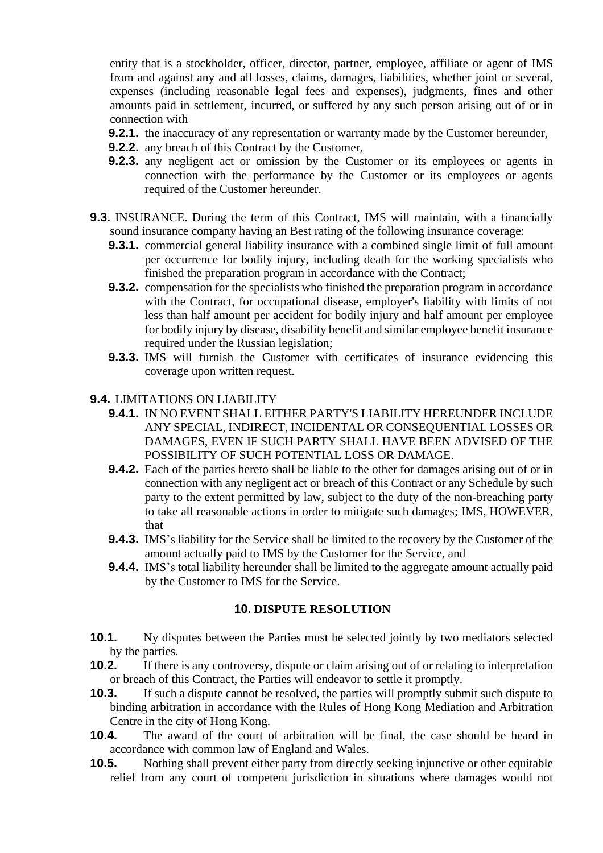entity that is a stockholder, officer, director, partner, employee, affiliate or agent of IMS from and against any and all losses, claims, damages, liabilities, whether joint or several, expenses (including reasonable legal fees and expenses), judgments, fines and other amounts paid in settlement, incurred, or suffered by any such person arising out of or in connection with

- **9.2.1.** the inaccuracy of any representation or warranty made by the Customer hereunder,
- **9.2.2.** any breach of this Contract by the Customer,
- **9.2.3.** any negligent act or omission by the Customer or its employees or agents in connection with the performance by the Customer or its employees or agents required of the Customer hereunder.
- **9.3.** INSURANCE. During the term of this Contract, IMS will maintain, with a financially sound insurance company having an Best rating of the following insurance coverage:
	- **9.3.1.** commercial general liability insurance with a combined single limit of full amount per occurrence for bodily injury, including death for the working specialists who finished the preparation program in accordance with the Contract;
	- **9.3.2.** compensation for the specialists who finished the preparation program in accordance with the Contract, for occupational disease, employer's liability with limits of not less than half amount per accident for bodily injury and half amount per employee for bodily injury by disease, disability benefit and similar employee benefit insurance required under the Russian legislation;
	- **9.3.3.** IMS will furnish the Customer with certificates of insurance evidencing this coverage upon written request.

# **9.4.** LIMITATIONS ON LIABILITY

- **9.4.1.** IN NO EVENT SHALL EITHER PARTY'S LIABILITY HEREUNDER INCLUDE ANY SPECIAL, INDIRECT, INCIDENTAL OR CONSEQUENTIAL LOSSES OR DAMAGES, EVEN IF SUCH PARTY SHALL HAVE BEEN ADVISED OF THE POSSIBILITY OF SUCH POTENTIAL LOSS OR DAMAGE.
- **9.4.2.** Each of the parties hereto shall be liable to the other for damages arising out of or in connection with any negligent act or breach of this Contract or any Schedule by such party to the extent permitted by law, subject to the duty of the non-breaching party to take all reasonable actions in order to mitigate such damages; IMS, HOWEVER, that
- **9.4.3.** IMS's liability for the Service shall be limited to the recovery by the Customer of the amount actually paid to IMS by the Customer for the Service, and
- **9.4.4.** IMS's total liability hereunder shall be limited to the aggregate amount actually paid by the Customer to IMS for the Service.

# **10. DISPUTE RESOLUTION**

- **10.1.** Ny disputes between the Parties must be selected jointly by two mediators selected by the parties.
- **10.2.** If there is any controversy, dispute or claim arising out of or relating to interpretation or breach of this Contract, the Parties will endeavor to settle it promptly.
- **10.3.** If such a dispute cannot be resolved, the parties will promptly submit such dispute to binding arbitration in accordance with the Rules of Hong Kong Mediation and Arbitration Centre in the city of Hong Kong.
- **10.4.** The award of the court of arbitration will be final, the case should be heard in accordance with common law of England and Wales.
- **10.5.** Nothing shall prevent either party from directly seeking injunctive or other equitable relief from any court of competent jurisdiction in situations where damages would not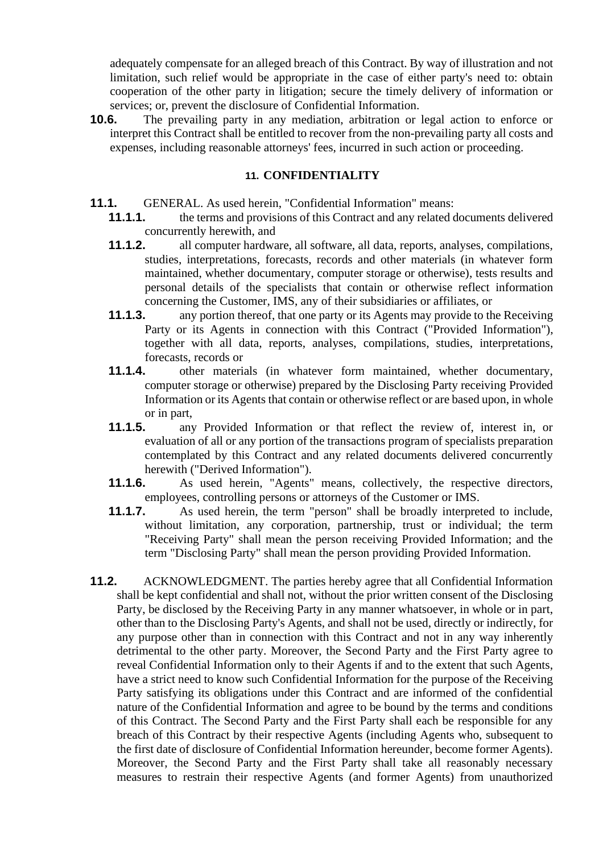adequately compensate for an alleged breach of this Contract. By way of illustration and not limitation, such relief would be appropriate in the case of either party's need to: obtain cooperation of the other party in litigation; secure the timely delivery of information or services; or, prevent the disclosure of Confidential Information.

**10.6.** The prevailing party in any mediation, arbitration or legal action to enforce or interpret this Contract shall be entitled to recover from the non-prevailing party all costs and expenses, including reasonable attorneys' fees, incurred in such action or proceeding.

#### **11. CONFIDENTIALITY**

- **11.1.** GENERAL. As used herein, "Confidential Information" means:<br>**11.1.1.** the terms and provisions of this Contract and any related d
	- **11.1.1.** the terms and provisions of this Contract and any related documents delivered concurrently herewith, and
	- **11.1.2.** all computer hardware, all software, all data, reports, analyses, compilations, studies, interpretations, forecasts, records and other materials (in whatever form maintained, whether documentary, computer storage or otherwise), tests results and personal details of the specialists that contain or otherwise reflect information concerning the Customer, IMS, any of their subsidiaries or affiliates, or
	- **11.1.3.** any portion thereof, that one party or its Agents may provide to the Receiving Party or its Agents in connection with this Contract ("Provided Information"), together with all data, reports, analyses, compilations, studies, interpretations, forecasts, records or
	- **11.1.4.** other materials (in whatever form maintained, whether documentary, computer storage or otherwise) prepared by the Disclosing Party receiving Provided Information or its Agents that contain or otherwise reflect or are based upon, in whole or in part,
	- **11.1.5.** any Provided Information or that reflect the review of, interest in, or evaluation of all or any portion of the transactions program of specialists preparation contemplated by this Contract and any related documents delivered concurrently herewith ("Derived Information").
	- **11.1.6.** As used herein, "Agents" means, collectively, the respective directors, employees, controlling persons or attorneys of the Customer or IMS.
	- **11.1.7.** As used herein, the term "person" shall be broadly interpreted to include, without limitation, any corporation, partnership, trust or individual; the term "Receiving Party" shall mean the person receiving Provided Information; and the term "Disclosing Party" shall mean the person providing Provided Information.
- **11.2.** ACKNOWLEDGMENT. The parties hereby agree that all Confidential Information shall be kept confidential and shall not, without the prior written consent of the Disclosing Party, be disclosed by the Receiving Party in any manner whatsoever, in whole or in part, other than to the Disclosing Party's Agents, and shall not be used, directly or indirectly, for any purpose other than in connection with this Contract and not in any way inherently detrimental to the other party. Moreover, the Second Party and the First Party agree to reveal Confidential Information only to their Agents if and to the extent that such Agents, have a strict need to know such Confidential Information for the purpose of the Receiving Party satisfying its obligations under this Contract and are informed of the confidential nature of the Confidential Information and agree to be bound by the terms and conditions of this Contract. The Second Party and the First Party shall each be responsible for any breach of this Contract by their respective Agents (including Agents who, subsequent to the first date of disclosure of Confidential Information hereunder, become former Agents). Moreover, the Second Party and the First Party shall take all reasonably necessary measures to restrain their respective Agents (and former Agents) from unauthorized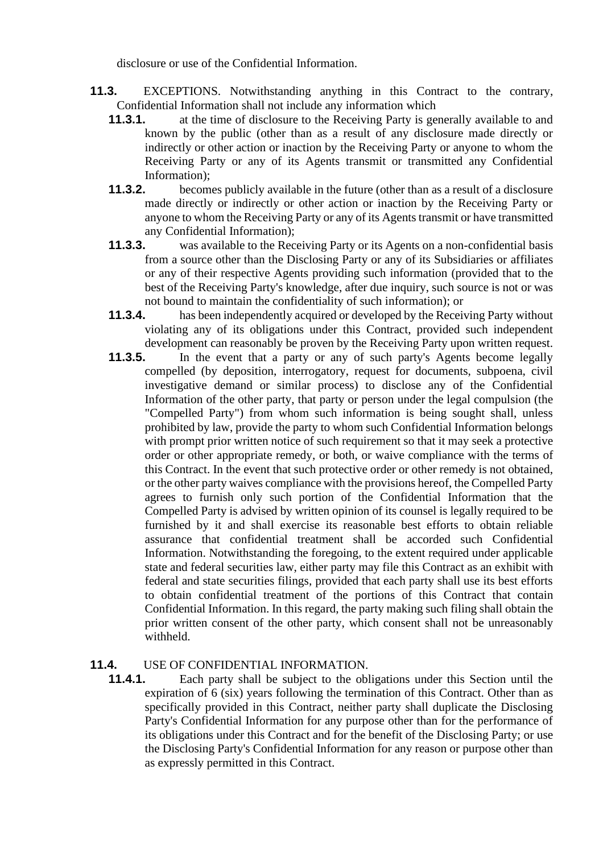disclosure or use of the Confidential Information.

- **11.3.** EXCEPTIONS. Notwithstanding anything in this Contract to the contrary, Confidential Information shall not include any information which
	- **11.3.1.** at the time of disclosure to the Receiving Party is generally available to and known by the public (other than as a result of any disclosure made directly or indirectly or other action or inaction by the Receiving Party or anyone to whom the Receiving Party or any of its Agents transmit or transmitted any Confidential Information);
	- **11.3.2.** becomes publicly available in the future (other than as a result of a disclosure made directly or indirectly or other action or inaction by the Receiving Party or anyone to whom the Receiving Party or any of its Agents transmit or have transmitted any Confidential Information);
	- **11.3.3.** was available to the Receiving Party or its Agents on a non-confidential basis from a source other than the Disclosing Party or any of its Subsidiaries or affiliates or any of their respective Agents providing such information (provided that to the best of the Receiving Party's knowledge, after due inquiry, such source is not or was not bound to maintain the confidentiality of such information); or
	- **11.3.4.** has been independently acquired or developed by the Receiving Party without violating any of its obligations under this Contract, provided such independent development can reasonably be proven by the Receiving Party upon written request.
	- **11.3.5.** In the event that a party or any of such party's Agents become legally compelled (by deposition, interrogatory, request for documents, subpoena, civil investigative demand or similar process) to disclose any of the Confidential Information of the other party, that party or person under the legal compulsion (the "Compelled Party") from whom such information is being sought shall, unless prohibited by law, provide the party to whom such Confidential Information belongs with prompt prior written notice of such requirement so that it may seek a protective order or other appropriate remedy, or both, or waive compliance with the terms of this Contract. In the event that such protective order or other remedy is not obtained, or the other party waives compliance with the provisions hereof, the Compelled Party agrees to furnish only such portion of the Confidential Information that the Compelled Party is advised by written opinion of its counsel is legally required to be furnished by it and shall exercise its reasonable best efforts to obtain reliable assurance that confidential treatment shall be accorded such Confidential Information. Notwithstanding the foregoing, to the extent required under applicable state and federal securities law, either party may file this Contract as an exhibit with federal and state securities filings, provided that each party shall use its best efforts to obtain confidential treatment of the portions of this Contract that contain Confidential Information. In this regard, the party making such filing shall obtain the prior written consent of the other party, which consent shall not be unreasonably withheld.

# **11.4.** USE OF CONFIDENTIAL INFORMATION.

**11.4.1.** Each party shall be subject to the obligations under this Section until the expiration of 6 (six) years following the termination of this Contract. Other than as specifically provided in this Contract, neither party shall duplicate the Disclosing Party's Confidential Information for any purpose other than for the performance of its obligations under this Contract and for the benefit of the Disclosing Party; or use the Disclosing Party's Confidential Information for any reason or purpose other than as expressly permitted in this Contract.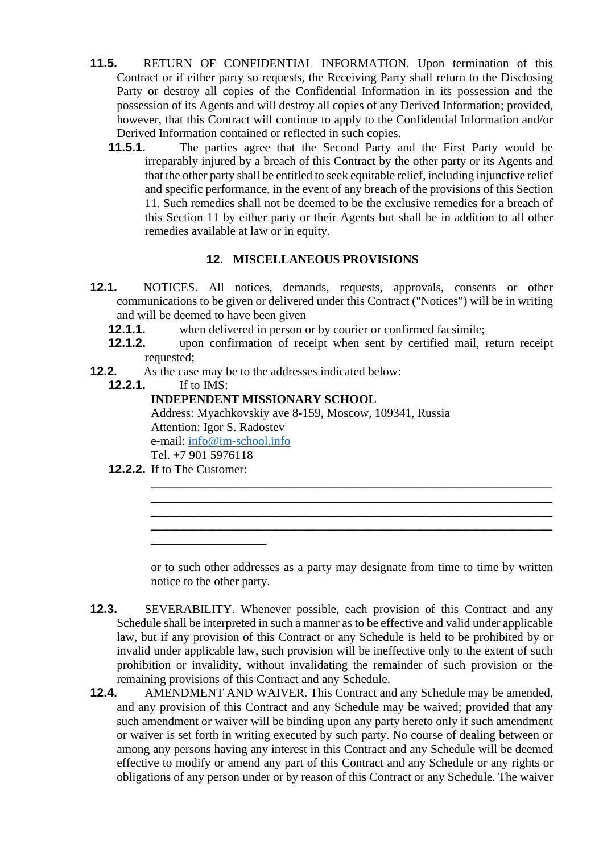- **11.5.** RETURN OF CONFIDENTIAL INFORMATION. Upon termination of this Contract or if either party so requests, the Receiving Party shall return to the Disclosing Party or destroy all copies of the Confidential Information in its possession and the possession of its Agents and will destroy all copies of any Derived Information; provided, however, that this Contract will continue to apply to the Confidential Information and/or Derived Information contained or reflected in such copies.
	- **11.5.1.** The parties agree that the Second Party and the First Party would be irreparably injured by a breach of this Contract by the other party or its Agents and that the other party shall be entitled to seek equitable relief, including injunctive relief and specific performance, in the event of any breach of the provisions of this Section 11. Such remedies shall not be deemed to be the exclusive remedies for a breach of this Section 11 by either party or their Agents but shall be in addition to all other remedies available at law or in equity.

# **12. MISCELLANEOUS PROVISIONS**

- **12.1.** NOTICES. All notices, demands, requests, approvals, consents or other communications to be given or delivered under this Contract ("Notices") will be in writing and will be deemed to have been given
	- **12.1.1.** when delivered in person or by courier or confirmed facsimile;
	- **12.1.2.** upon confirmation of receipt when sent by certified mail, return receipt requested;
- **12.2.** As the case may be to the addresses indicated below:
	- **12.2.1.** If to IMS:

# **INDEPENDENT MISSIONARY SCHOOL**

Address: Myachkovskiy ave 8-159, Moscow, 109341, Russia Attention: Igor S. Radostev e-mail: [info@im-school.info](mailto:info@im-school.info) Tel. +7 901 5976118

**12.2.2.** If to The Customer:

**\_\_\_\_\_\_\_\_\_\_\_\_\_\_\_\_\_\_\_**

or to such other addresses as a party may designate from time to time by written notice to the other party.

**\_\_\_\_\_\_\_\_\_\_\_\_\_\_\_\_\_\_\_\_\_\_\_\_\_\_\_\_\_\_\_\_\_\_\_\_\_\_\_\_\_\_\_\_\_\_\_\_\_\_\_\_\_\_\_\_\_\_\_\_\_\_\_\_\_\_ \_\_\_\_\_\_\_\_\_\_\_\_\_\_\_\_\_\_\_\_\_\_\_\_\_\_\_\_\_\_\_\_\_\_\_\_\_\_\_\_\_\_\_\_\_\_\_\_\_\_\_\_\_\_\_\_\_\_\_\_\_\_\_\_\_\_ \_\_\_\_\_\_\_\_\_\_\_\_\_\_\_\_\_\_\_\_\_\_\_\_\_\_\_\_\_\_\_\_\_\_\_\_\_\_\_\_\_\_\_\_\_\_\_\_\_\_\_\_\_\_\_\_\_\_\_\_\_\_\_\_\_\_ \_\_\_\_\_\_\_\_\_\_\_\_\_\_\_\_\_\_\_\_\_\_\_\_\_\_\_\_\_\_\_\_\_\_\_\_\_\_\_\_\_\_\_\_\_\_\_\_\_\_\_\_\_\_\_\_\_\_\_\_\_\_\_\_\_\_**

- **12.3.** SEVERABILITY. Whenever possible, each provision of this Contract and any Schedule shall be interpreted in such a manner as to be effective and valid under applicable law, but if any provision of this Contract or any Schedule is held to be prohibited by or invalid under applicable law, such provision will be ineffective only to the extent of such prohibition or invalidity, without invalidating the remainder of such provision or the remaining provisions of this Contract and any Schedule.
- **12.4.** AMENDMENT AND WAIVER. This Contract and any Schedule may be amended, and any provision of this Contract and any Schedule may be waived; provided that any such amendment or waiver will be binding upon any party hereto only if such amendment or waiver is set forth in writing executed by such party. No course of dealing between or among any persons having any interest in this Contract and any Schedule will be deemed effective to modify or amend any part of this Contract and any Schedule or any rights or obligations of any person under or by reason of this Contract or any Schedule. The waiver